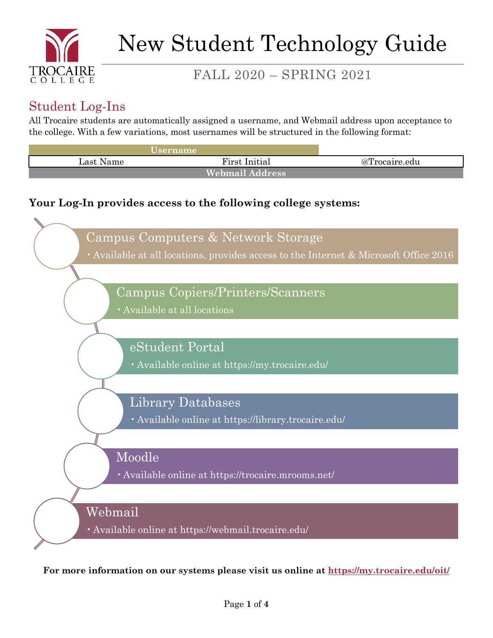

# FALL 2020 – SPRING 2021

## Student Log-Ins

All Trocaire students are automatically assigned a username, and Webmail address upon acceptance to the college. With a few variations, most usernames will be structured in the following format:

| <b>Username</b>        |               |               |
|------------------------|---------------|---------------|
| ∟ast Name              | First Initial | @Trocaire.edu |
| <b>Webmail Address</b> |               |               |

### **Your Log-In provides access to the following college systems:**



**For more information on our systems please visit us online at<https://my.trocaire.edu/oit/>**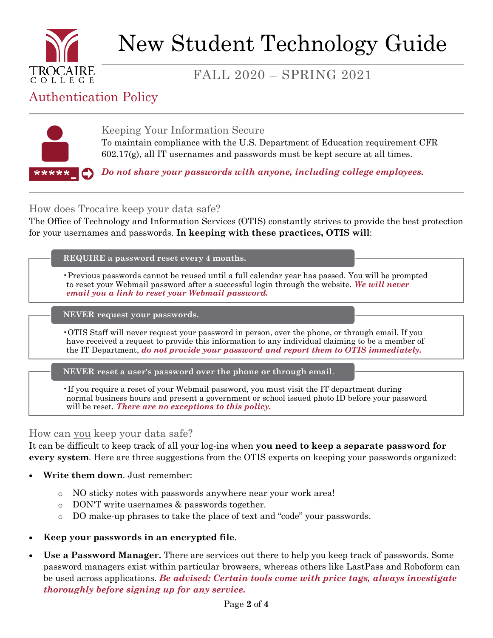

# New Student Technology Guide

## FALL 2020 – SPRING 2021

## Authentication Policy



Keeping Your Information Secure To maintain compliance with the U.S. Department of Education requirement CFR 602.17(g), all IT usernames and passwords must be kept secure at all times.

*Do not share your passwords with anyone, including college employees.*

How does Trocaire keep your data safe?

The Office of Technology and Information Services (OTIS) constantly strives to provide the best protection for your usernames and passwords. **In keeping with these practices, OTIS will**:

#### **REQUIRE a password reset every 4 months.**

•Previous passwords cannot be reused until a full calendar year has passed. You will be prompted to reset your Webmail password after a successful login through the website. *We will never email you a link to reset your Webmail password.*

**NEVER request your passwords.**

•OTIS Staff will never request your password in person, over the phone, or through email. If you have received a request to provide this information to any individual claiming to be a member of the IT Department, *do not provide your password and report them to OTIS immediately.*

**NEVER reset a user's password over the phone or through email**.

•If you require a reset of your Webmail password, you must visit the IT department during normal business hours and present a government or school issued photo ID before your password will be reset. *There are no exceptions to this policy.*

#### How can you keep your data safe?

It can be difficult to keep track of all your log-ins when **you need to keep a separate password for every system**. Here are three suggestions from the OTIS experts on keeping your passwords organized:

- **Write them down**. Just remember:
	- o NO sticky notes with passwords anywhere near your work area!
	- o DON'T write usernames & passwords together.
	- o DO make-up phrases to take the place of text and "code" your passwords.
- **Keep your passwords in an encrypted file**.
- **Use a Password Manager.** There are services out there to help you keep track of passwords. Some password managers exist within particular browsers, whereas others like LastPass and Roboform can be used across applications. *Be advised: Certain tools come with price tags, always investigate thoroughly before signing up for any service.*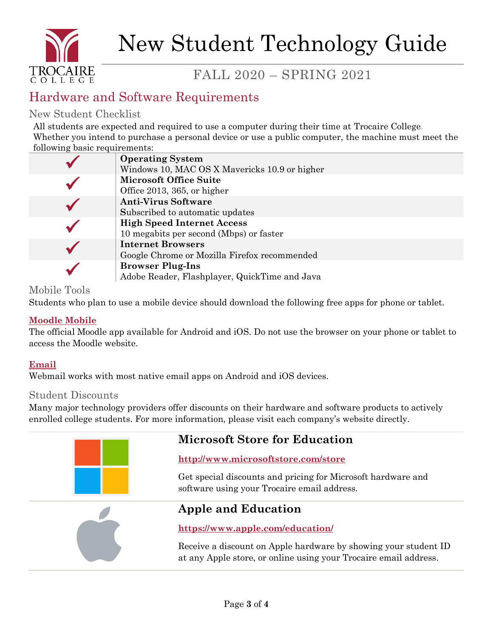

# New Student Technology Guide

# FALL 2020 – SPRING 2021

## Hardware and Software Requirements

#### New Student Checklist

All students are expected and required to use a computer during their time at Trocaire College. Whether you intend to purchase a personal device or use a public computer, the machine must meet the following basic requirements:

|  | <b>Operating System</b>                       |
|--|-----------------------------------------------|
|  | Windows 10, MAC OS X Mavericks 10.9 or higher |
|  | <b>Microsoft Office Suite</b>                 |
|  | Office 2013, 365, or higher                   |
|  | <b>Anti-Virus Software</b>                    |
|  | Subscribed to automatic updates               |
|  | <b>High Speed Internet Access</b>             |
|  | 10 megabits per second (Mbps) or faster       |
|  | <b>Internet Browsers</b>                      |
|  | Google Chrome or Mozilla Firefox recommended  |
|  | <b>Browser Plug-Ins</b>                       |
|  | Adobe Reader, Flashplayer, QuickTime and Java |

#### Mobile Tools

Students who plan to use a mobile device should download the following free apps for phone or tablet.

#### **[Moodle Mobile](https://download.moodle.org/mobile/)**

The official Moodle app available for Android and iOS. Do not use the browser on your phone or tablet to access the Moodle website.

#### **Email**

Webmail works with most native email apps on Android and iOS devices.

#### Student Discounts

Many major technology providers offer discounts on their hardware and software products to actively enrolled college students. For more information, please visit each company's website directly.



### **Microsoft Store for Education**

#### **http://www.microsoftstore.com/store**

Get special discounts and pricing for Microsoft hardware and software using your Trocaire email address.



### **Apple and Education**

#### **https://www.apple.com/education/**

Receive a discount on Apple hardware by showing your student ID at any Apple store, or online using your Trocaire email address.